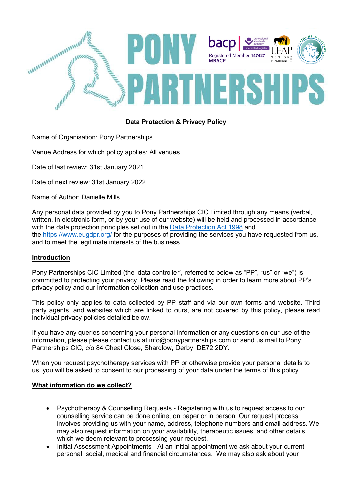

# **Data Protection & Privacy Policy**

Name of Organisation: Pony Partnerships

Venue Address for which policy applies: All venues

Date of last review: 31st January 2021

Date of next review: 31st January 2022

Name of Author: Danielle Mills

Any personal data provided by you to Pony Partnerships CIC Limited through any means (verbal, written, in electronic form, or by your use of our website) will be held and processed in accordance with the data protection principles set out in the [Data Protection](http://www.legislation.gov.uk/ukpga/1998/29/contents) Act 1998 and the <https://www.eugdpr.org/> for the purposes of providing the services you have requested from us, and to meet the legitimate interests of the business.

### **Introduction**

Pony Partnerships CIC Limited (the 'data controller', referred to below as "PP", "us" or "we") is committed to protecting your privacy. Please read the following in order to learn more about PP's privacy policy and our information collection and use practices.

This policy only applies to data collected by PP staff and via our own forms and website. Third party agents, and websites which are linked to ours, are not covered by this policy, please read individual privacy policies detailed below.

If you have any queries concerning your personal information or any questions on our use of the information, please please contact us at info@ponypartnerships.com or send us mail to Pony Partnerships CIC, c/o 84 Cheal Close, Shardlow, Derby, DE72 2DY.

When you request psychotherapy services with PP or otherwise provide your personal details to us, you will be asked to consent to our processing of your data under the terms of this policy.

## **What information do we collect?**

- Psychotherapy & Counselling Requests Registering with us to request access to our counselling service can be done online, on paper or in person. Our request process involves providing us with your name, address, telephone numbers and email address. We may also request information on your availability, therapeutic issues, and other details which we deem relevant to processing your request.
- Initial Assessment Appointments At an initial appointment we ask about your current personal, social, medical and financial circumstances. We may also ask about your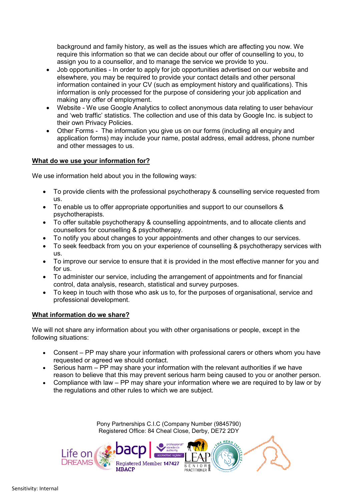background and family history, as well as the issues which are affecting you now. We require this information so that we can decide about our offer of counselling to you, to assign you to a counsellor, and to manage the service we provide to you.

- Job opportunities In order to apply for job opportunities advertised on our website and elsewhere, you may be required to provide your contact details and other personal information contained in your CV (such as employment history and qualifications). This information is only processed for the purpose of considering your job application and making any offer of employment.
- Website We use Google Analytics to collect anonymous data relating to user behaviour and 'web traffic' statistics. The collection and use of this data by Google Inc. is subject to their own Privacy Policies.
- Other Forms The information you give us on our forms (including all enquiry and application forms) may include your name, postal address, email address, phone number and other messages to us.

### **What do we use your information for?**

We use information held about you in the following ways:

- To provide clients with the professional psychotherapy & counselling service requested from us.
- To enable us to offer appropriate opportunities and support to our counsellors & psychotherapists.
- To offer suitable psychotherapy & counselling appointments, and to allocate clients and counsellors for counselling & psychotherapy.
- To notify you about changes to your appointments and other changes to our services.
- To seek feedback from you on your experience of counselling & psychotherapy services with us.
- To improve our service to ensure that it is provided in the most effective manner for you and for us.
- To administer our service, including the arrangement of appointments and for financial control, data analysis, research, statistical and survey purposes.
- To keep in touch with those who ask us to, for the purposes of organisational, service and professional development.

### **What information do we share?**

We will not share any information about you with other organisations or people, except in the following situations:

- Consent PP may share your information with professional carers or others whom you have requested or agreed we should contact.
- Serious harm PP may share your information with the relevant authorities if we have reason to believe that this may prevent serious harm being caused to you or another person.
- Compliance with law PP may share your information where we are required to by law or by the regulations and other rules to which we are subject.

Pony Partnerships C.I.C (Company Number (9845790) Registered Office: 84 Cheal Close, Derby, DE72 2DY

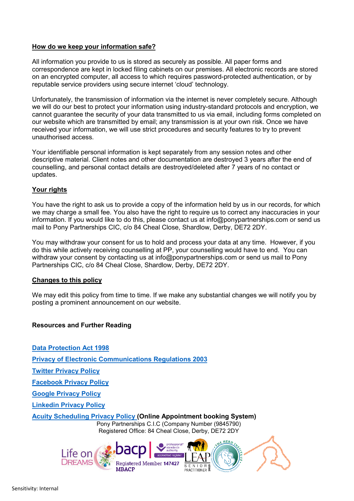### **How do we keep your information safe?**

All information you provide to us is stored as securely as possible. All paper forms and correspondence are kept in locked filing cabinets on our premises. All electronic records are stored on an encrypted computer, all access to which requires password-protected authentication, or by reputable service providers using secure internet 'cloud' technology.

Unfortunately, the transmission of information via the internet is never completely secure. Although we will do our best to protect your information using industry-standard protocols and encryption, we cannot guarantee the security of your data transmitted to us via email, including forms completed on our website which are transmitted by email; any transmission is at your own risk. Once we have received your information, we will use strict procedures and security features to try to prevent unauthorised access.

Your identifiable personal information is kept separately from any session notes and other descriptive material. Client notes and other documentation are destroyed 3 years after the end of counselling, and personal contact details are destroyed/deleted after 7 years of no contact or updates.

### **Your rights**

You have the right to ask us to provide a copy of the information held by us in our records, for which we may charge a small fee. You also have the right to require us to correct any inaccuracies in your information. If you would like to do this, please contact us at info@ponypartnerships.com or send us mail to Pony Partnerships CIC, c/o 84 Cheal Close, Shardlow, Derby, DE72 2DY.

You may withdraw your consent for us to hold and process your data at any time. However, if you do this while actively receiving counselling at PP, your counselling would have to end. You can withdraw your consent by contacting us at info@ponypartnerships.com or send us mail to Pony Partnerships CIC, c/o 84 Cheal Close, Shardlow, Derby, DE72 2DY.

#### **Changes to this policy**

We may edit this policy from time to time. If we make any substantial changes we will notify you by posting a prominent announcement on our website.

### **Resources and Further Reading**

Pony Partnerships C.I.C (Company Number (9845790) Registered Office: 84 Cheal Close, Derby, DE72 2DY **Data [Protection](http://www.legislation.gov.uk/ukpga/1998/29/contents) Act 1998 Privacy of Electronic [Communications](http://www.legislation.gov.uk/uksi/2003/2426/contents/made) Regulations 2003 Twitter [Privacy](https://twitter.com/en/privacy) Policy [Facebook](https://www.facebook.com/about/privacy/) Privacy Policy Google [Privacy](https://policies.google.com/privacy?hl=en-GB&gl=uk) Policy [Linkedin](https://www.linkedin.com/legal/privacy-policy) Privacy Policy Acuity [Scheduling](https://acuityscheduling.com/privacy.php) Privacy Policy (Online Appointment booking System)**